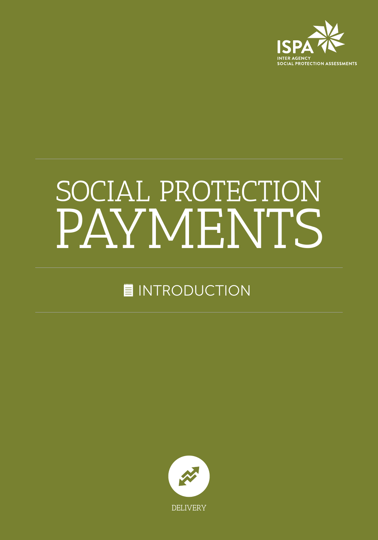

# PAYMENTS SOCIAL PROTECTION

## **INTRODUCTION**

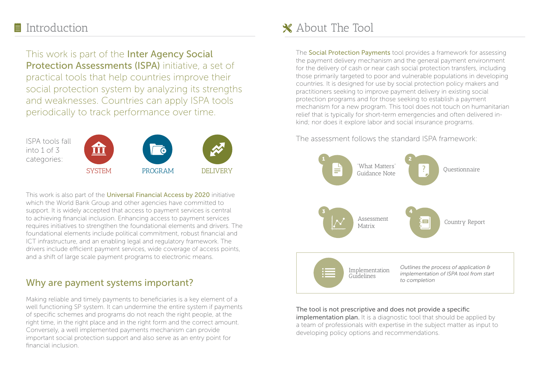This work is part of the Inter Agency Social Protection Assessments (ISPA) initiative, a set of practical tools that help countries improve their social protection system by analyzing its strengths and weaknesses. Countries can apply ISPA tools periodically to track performance over time.



This work is also part of the Universal Financial Access by 2020 initiative which the World Bank Group and other agencies have committed to support. It is widely accepted that access to payment services is central to achieving financial inclusion. Enhancing access to payment services requires initiatives to strengthen the foundational elements and drivers. The foundational elements include political commitment, robust financial and ICT infrastructure, and an enabling legal and regulatory framework. The drivers include efficient payment services, wide coverage of access points, and a shift of large scale payment programs to electronic means.

### Why are payment systems important?

Making reliable and timely payments to beneficiaries is a key element of a well functioning SP system. It can undermine the entire system if payments of specific schemes and programs do not reach the right people, at the right time, in the right place and in the right form and the correct amount. Conversely, a well implemented payments mechanism can provide important social protection support and also serve as an entry point for financial inclusion.

## ■ Introduction and About The Tool

The **Social Protection Payments** tool provides a framework for assessing the payment delivery mechanism and the general payment environment for the delivery of cash or near cash social protection transfers, including those primarily targeted to poor and vulnerable populations in developing countries. It is designed for use by social protection policy makers and practitioners seeking to improve payment delivery in existing social protection programs and for those seeking to establish a payment mechanism for a new program. This tool does not touch on humanitarian relief that is typically for short-term emergencies and often delivered inkind; nor does it explore labor and social insurance programs.

The assessment follows the standard ISPA framework:



#### The tool is not prescriptive and does not provide a specific

**implementation plan.** It is a diagnostic tool that should be applied by a team of professionals with expertise in the subject matter as input to developing policy options and recommendations.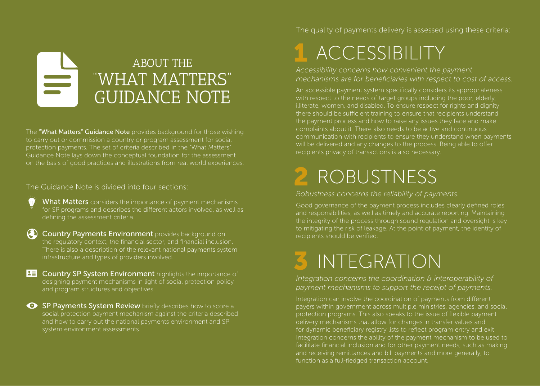## ABOUT THE "WHAT MATTERS" GUIDANCE NOTE

The "What Matters" Guidance Note provides background for those wishing to carry out or commission a country or program assessment for social protection payments. The set of criteria described in the "What Matters" Guidance Note lays down the conceptual foundation for the assessment on the basis of good practices and illustrations from real world experiences.

#### The Guidance Note is divided into four sections:

- What Matters considers the importance of payment mechanisms for SP programs and describes the different actors involved, as well as defining the assessment criteria.
- **A Country Payments Environment** provides background on the regulatory context, the financial sector, and financial inclusion. There is also a description of the relevant national payments system infrastructure and types of providers involved.
- **BU Country SP System Environment** highlights the importance of designing payment mechanisms in light of social protection policy and program structures and objectives.
- SP Payments System Review briefly describes how to score a social protection payment mechanism against the criteria described and how to carry out the national payments environment and SP system environment assessments.

The quality of payments delivery is assessed using these criteria:

## 1 ACCESSIBILITY

*Accessibility concerns how convenient the payment mechanisms are for beneficiaries with respect to cost of access.*

An accessible payment system specifically considers its appropriateness with respect to the needs of target groups including the poor, elderly, illiterate, women, and disabled. To ensure respect for rights and dignity there should be sufficient training to ensure that recipients understand the payment process and how to raise any issues they face and make complaints about it. There also needs to be active and continuous communication with recipients to ensure they understand when payments will be delivered and any changes to the process. Being able to offer recipients privacy of transactions is also necessary.

## 2 ROBUSTNESS

#### *Robustness concerns the reliability of payments.*

Good governance of the payment process includes clearly defined roles and responsibilities, as well as timely and accurate reporting. Maintaining the integrity of the process through sound regulation and oversight is key to mitigating the risk of leakage. At the point of payment, the identity of recipients should be verified.

## 3 INTEGRATION

*Integration concerns the coordination & interoperability of payment mechanisms to support the receipt of payments.* 

Integration can involve the coordination of payments from different payers within government across multiple ministries, agencies, and social protection programs. This also speaks to the issue of flexible payment delivery mechanisms that allow for changes in transfer values and for dynamic beneficiary registry lists to reflect program entry and exit Integration concerns the ability of the payment mechanism to be used to facilitate financial inclusion and for other payment needs, such as making and receiving remittances and bill payments and more generally, to function as a full-fledged transaction account.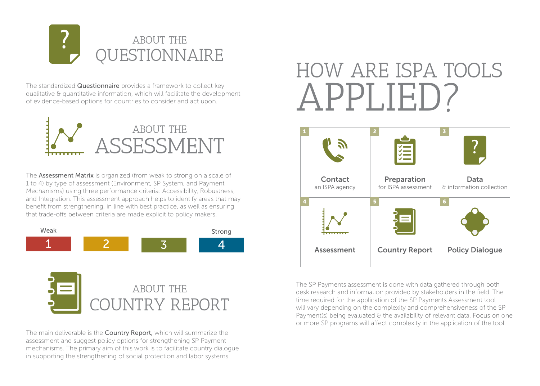

The standardized **Questionnaire** provides a framework to collect key qualitative & quantitative information, which will facilitate the development of evidence-based options for countries to consider and act upon.



The **Assessment Matrix** is organized (from weak to strong on a scale of 1 to 4) by type of assessment (Environment, SP System, and Payment Mechanisms) using three performance criteria: Accessibility, Robustness, and Integration. This assessment approach helps to identify areas that may benefit from strengthening, in line with best practice, as well as ensuring that trade-offs between criteria are made explicit to policy makers.





The main deliverable is the **Country Report**, which will summarize the assessment and suggest policy options for strengthening SP Payment mechanisms. The primary aim of this work is to facilitate country dialogue in supporting the strengthening of social protection and labor systems.

## APPLIED? HOW ARE ISPA TOOLS



The SP Payments assessment is done with data gathered through both desk research and information provided by stakeholders in the field. The time required for the application of the SP Payments Assessment tool will vary depending on the complexity and comprehensiveness of the SP Payment(s) being evaluated & the availability of relevant data. Focus on one or more SP programs will affect complexity in the application of the tool.